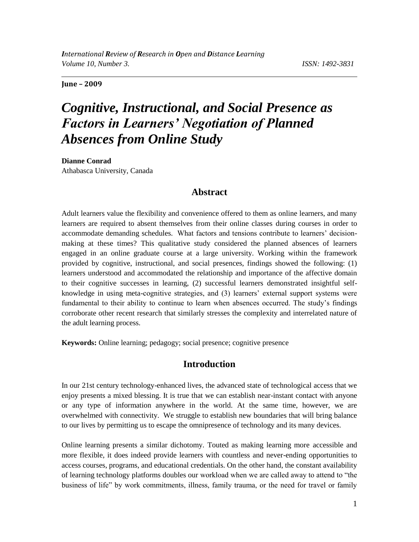#### **June – 2009**

# *Cognitive, Instructional, and Social Presence as Factors in Learners' Negotiation of Planned Absences from Online Study*

**Dianne Conrad**

Athabasca University, Canada

#### **Abstract**

Adult learners value the flexibility and convenience offered to them as online learners, and many learners are required to absent themselves from their online classes during courses in order to accommodate demanding schedules. What factors and tensions contribute to learners' decisionmaking at these times? This qualitative study considered the planned absences of learners engaged in an online graduate course at a large university. Working within the framework provided by cognitive, instructional, and social presences, findings showed the following: (1) learners understood and accommodated the relationship and importance of the affective domain to their cognitive successes in learning, (2) successful learners demonstrated insightful selfknowledge in using meta-cognitive strategies, and (3) learners' external support systems were fundamental to their ability to continue to learn when absences occurred. The study"s findings corroborate other recent research that similarly stresses the complexity and interrelated nature of the adult learning process.

**Keywords:** Online learning; pedagogy; social presence; cognitive presence

#### **Introduction**

In our 21st century technology-enhanced lives, the advanced state of technological access that we enjoy presents a mixed blessing. It is true that we can establish near-instant contact with anyone or any type of information anywhere in the world. At the same time, however, we are overwhelmed with connectivity. We struggle to establish new boundaries that will bring balance to our lives by permitting us to escape the omnipresence of technology and its many devices.

Online learning presents a similar dichotomy. Touted as making learning more accessible and more flexible, it does indeed provide learners with countless and never-ending opportunities to access courses, programs, and educational credentials. On the other hand, the constant availability of learning technology platforms doubles our workload when we are called away to attend to "the business of life" by work commitments, illness, family trauma, or the need for travel or family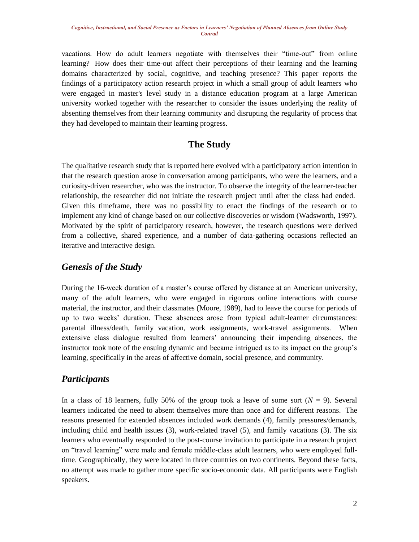vacations. How do adult learners negotiate with themselves their "time-out" from online learning? How does their time-out affect their perceptions of their learning and the learning domains characterized by social, cognitive, and teaching presence? This paper reports the findings of a participatory action research project in which a small group of adult learners who were engaged in master's level study in a distance education program at a large American university worked together with the researcher to consider the issues underlying the reality of absenting themselves from their learning community and disrupting the regularity of process that they had developed to maintain their learning progress.

#### **The Study**

The qualitative research study that is reported here evolved with a participatory action intention in that the research question arose in conversation among participants, who were the learners, and a curiosity-driven researcher, who was the instructor. To observe the integrity of the learner-teacher relationship, the researcher did not initiate the research project until after the class had ended. Given this timeframe, there was no possibility to enact the findings of the research or to implement any kind of change based on our collective discoveries or wisdom (Wadsworth, 1997). Motivated by the spirit of participatory research, however, the research questions were derived from a collective, shared experience, and a number of data-gathering occasions reflected an iterative and interactive design.

### *Genesis of the Study*

During the 16-week duration of a master"s course offered by distance at an American university, many of the adult learners, who were engaged in rigorous online interactions with course material, the instructor, and their classmates (Moore, 1989), had to leave the course for periods of up to two weeks" duration. These absences arose from typical adult-learner circumstances: parental illness/death, family vacation, work assignments, work-travel assignments. When extensive class dialogue resulted from learners" announcing their impending absences, the instructor took note of the ensuing dynamic and became intrigued as to its impact on the group"s learning, specifically in the areas of affective domain, social presence, and community.

#### *Participants*

In a class of 18 learners, fully 50% of the group took a leave of some sort  $(N = 9)$ . Several learners indicated the need to absent themselves more than once and for different reasons. The reasons presented for extended absences included work demands (4), family pressures/demands, including child and health issues (3), work-related travel (5), and family vacations (3). The six learners who eventually responded to the post-course invitation to participate in a research project on "travel learning" were male and female middle-class adult learners, who were employed fulltime. Geographically, they were located in three countries on two continents. Beyond these facts, no attempt was made to gather more specific socio-economic data. All participants were English speakers.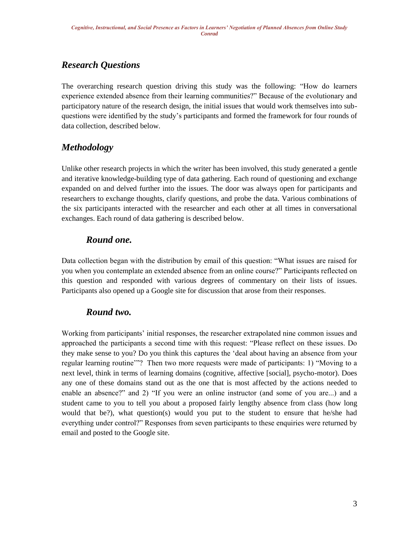# *Research Questions*

The overarching research question driving this study was the following: "How do learners experience extended absence from their learning communities?" Because of the evolutionary and participatory nature of the research design, the initial issues that would work themselves into subquestions were identified by the study"s participants and formed the framework for four rounds of data collection, described below.

# *Methodology*

Unlike other research projects in which the writer has been involved, this study generated a gentle and iterative knowledge-building type of data gathering. Each round of questioning and exchange expanded on and delved further into the issues. The door was always open for participants and researchers to exchange thoughts, clarify questions, and probe the data. Various combinations of the six participants interacted with the researcher and each other at all times in conversational exchanges. Each round of data gathering is described below.

# *Round one.*

Data collection began with the distribution by email of this question: "What issues are raised for you when you contemplate an extended absence from an online course?" Participants reflected on this question and responded with various degrees of commentary on their lists of issues. Participants also opened up a Google site for discussion that arose from their responses.

# *Round two.*

Working from participants" initial responses, the researcher extrapolated nine common issues and approached the participants a second time with this request: "Please reflect on these issues. Do they make sense to you? Do you think this captures the "deal about having an absence from your regular learning routine""? Then two more requests were made of participants: 1) "Moving to a next level, think in terms of learning domains (cognitive, affective [social], psycho-motor). Does any one of these domains stand out as the one that is most affected by the actions needed to enable an absence?" and 2) "If you were an online instructor (and some of you are...) and a student came to you to tell you about a proposed fairly lengthy absence from class (how long would that be?), what question(s) would you put to the student to ensure that he/she had everything under control?" Responses from seven participants to these enquiries were returned by email and posted to the Google site.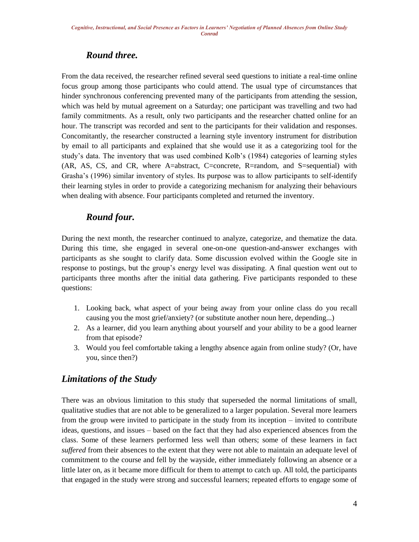# *Round three.*

From the data received, the researcher refined several seed questions to initiate a real-time online focus group among those participants who could attend. The usual type of circumstances that hinder synchronous conferencing prevented many of the participants from attending the session, which was held by mutual agreement on a Saturday; one participant was travelling and two had family commitments. As a result, only two participants and the researcher chatted online for an hour. The transcript was recorded and sent to the participants for their validation and responses. Concomitantly, the researcher constructed a learning style inventory instrument for distribution by email to all participants and explained that she would use it as a categorizing tool for the study"s data. The inventory that was used combined Kolb"s (1984) categories of learning styles (AR, AS, CS, and CR, where A=abstract, C=concrete, R=random, and S=sequential) with Grasha"s (1996) similar inventory of styles. Its purpose was to allow participants to self-identify their learning styles in order to provide a categorizing mechanism for analyzing their behaviours when dealing with absence. Four participants completed and returned the inventory.

# *Round four.*

During the next month, the researcher continued to analyze, categorize, and thematize the data. During this time, she engaged in several one-on-one question-and-answer exchanges with participants as she sought to clarify data. Some discussion evolved within the Google site in response to postings, but the group"s energy level was dissipating. A final question went out to participants three months after the initial data gathering. Five participants responded to these questions:

- 1. Looking back, what aspect of your being away from your online class do you recall causing you the most grief/anxiety? (or substitute another noun here, depending...)
- 2. As a learner, did you learn anything about yourself and your ability to be a good learner from that episode?
- 3. Would you feel comfortable taking a lengthy absence again from online study? (Or, have you, since then?)

# *Limitations of the Study*

There was an obvious limitation to this study that superseded the normal limitations of small, qualitative studies that are not able to be generalized to a larger population. Several more learners from the group were invited to participate in the study from its inception – invited to contribute ideas, questions, and issues – based on the fact that they had also experienced absences from the class. Some of these learners performed less well than others; some of these learners in fact *suffered* from their absences to the extent that they were not able to maintain an adequate level of commitment to the course and fell by the wayside, either immediately following an absence or a little later on, as it became more difficult for them to attempt to catch up. All told, the participants that engaged in the study were strong and successful learners; repeated efforts to engage some of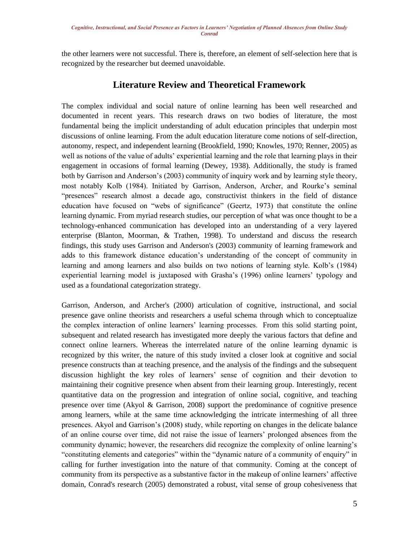the other learners were not successful. There is, therefore, an element of self-selection here that is recognized by the researcher but deemed unavoidable.

### **Literature Review and Theoretical Framework**

The complex individual and social nature of online learning has been well researched and documented in recent years. This research draws on two bodies of literature, the most fundamental being the implicit understanding of adult education principles that underpin most discussions of online learning. From the adult education literature come notions of self-direction, autonomy, respect, and independent learning (Brookfield, 1990; Knowles, 1970; Renner, 2005) as well as notions of the value of adults' experiential learning and the role that learning plays in their engagement in occasions of formal learning (Dewey, 1938). Additionally, the study is framed both by Garrison and Anderson"s (2003) community of inquiry work and by learning style theory, most notably Kolb (1984). Initiated by Garrison, Anderson, Archer, and Rourke"s seminal "presences" research almost a decade ago, constructivist thinkers in the field of distance education have focused on "webs of significance" (Geertz, 1973) that constitute the online learning dynamic. From myriad research studies, our perception of what was once thought to be a technology-enhanced communication has developed into an understanding of a very layered enterprise (Blanton, Moorman, & Trathen, 1998). To understand and discuss the research findings, this study uses Garrison and Anderson's (2003) community of learning framework and adds to this framework distance education"s understanding of the concept of community in learning and among learners and also builds on two notions of learning style. Kolb"s (1984) experiential learning model is juxtaposed with Grasha"s (1996) online learners" typology and used as a foundational categorization strategy.

Garrison, Anderson, and Archer's (2000) articulation of cognitive, instructional, and social presence gave online theorists and researchers a useful schema through which to conceptualize the complex interaction of online learners" learning processes. From this solid starting point, subsequent and related research has investigated more deeply the various factors that define and connect online learners. Whereas the interrelated nature of the online learning dynamic is recognized by this writer, the nature of this study invited a closer look at cognitive and social presence constructs than at teaching presence, and the analysis of the findings and the subsequent discussion highlight the key roles of learners" sense of cognition and their devotion to maintaining their cognitive presence when absent from their learning group. Interestingly, recent quantitative data on the progression and integration of online social, cognitive, and teaching presence over time (Akyol & Garrison, 2008) support the predominance of cognitive presence among learners, while at the same time acknowledging the intricate intermeshing of all three presences. Akyol and Garrison"s (2008) study, while reporting on changes in the delicate balance of an online course over time, did not raise the issue of learners" prolonged absences from the community dynamic; however, the researchers did recognize the complexity of online learning"s "constituting elements and categories" within the "dynamic nature of a community of enquiry" in calling for further investigation into the nature of that community. Coming at the concept of community from its perspective as a substantive factor in the makeup of online learners" affective domain, Conrad's research (2005) demonstrated a robust, vital sense of group cohesiveness that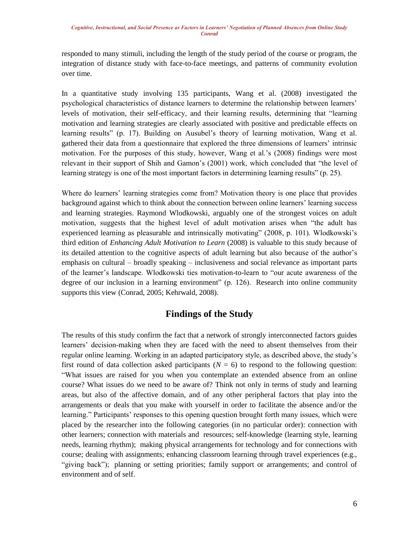responded to many stimuli, including the length of the study period of the course or program, the integration of distance study with face-to-face meetings, and patterns of community evolution over time.

In a quantitative study involving 135 participants, Wang et al. (2008) investigated the psychological characteristics of distance learners to determine the relationship between learners" levels of motivation, their self-efficacy, and their learning results, determining that "learning motivation and learning strategies are clearly associated with positive and predictable effects on learning results" (p. 17). Building on Ausubel"s theory of learning motivation, Wang et al. gathered their data from a questionnaire that explored the three dimensions of learners' intrinsic motivation. For the purposes of this study, however, Wang et al."s (2008) findings were most relevant in their support of Shih and Gamon"s (2001) work, which concluded that "the level of learning strategy is one of the most important factors in determining learning results" (p. 25).

Where do learners' learning strategies come from? Motivation theory is one place that provides background against which to think about the connection between online learners' learning success and learning strategies. Raymond Wlodkowski, arguably one of the strongest voices on adult motivation, suggests that the highest level of adult motivation arises when "the adult has experienced learning as pleasurable and intrinsically motivating" (2008, p. 101). Wlodkowski"s third edition of *Enhancing Adult Motivation to Learn* (2008) is valuable to this study because of its detailed attention to the cognitive aspects of adult learning but also because of the author"s emphasis on cultural – broadly speaking – inclusiveness and social relevance as important parts of the learner"s landscape. Wlodkowski ties motivation-to-learn to "our acute awareness of the degree of our inclusion in a learning environment" (p. 126). Research into online community supports this view (Conrad, 2005; Kehrwald, 2008).

# **Findings of the Study**

The results of this study confirm the fact that a network of strongly interconnected factors guides learners" decision-making when they are faced with the need to absent themselves from their regular online learning. Working in an adapted participatory style, as described above, the study"s first round of data collection asked participants  $(N = 6)$  to respond to the following question: "What issues are raised for you when you contemplate an extended absence from an online course? What issues do we need to be aware of? Think not only in terms of study and learning areas, but also of the affective domain, and of any other peripheral factors that play into the arrangements or deals that you make with yourself in order to facilitate the absence and/or the learning." Participants' responses to this opening question brought forth many issues, which were placed by the researcher into the following categories (in no particular order): connection with other learners; connection with materials and resources; self-knowledge (learning style, learning needs, learning rhythm); making physical arrangements for technology and for connections with course; dealing with assignments; enhancing classroom learning through travel experiences (e.g., "giving back"); planning or setting priorities; family support or arrangements; and control of environment and of self.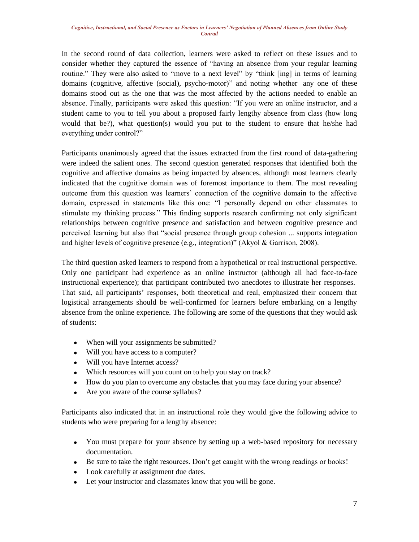In the second round of data collection, learners were asked to reflect on these issues and to consider whether they captured the essence of "having an absence from your regular learning routine." They were also asked to "move to a next level" by "think [ing] in terms of learning domains (cognitive, affective (social), psycho-motor)" and noting whether any one of these domains stood out as the one that was the most affected by the actions needed to enable an absence. Finally, participants were asked this question: "If you were an online instructor, and a student came to you to tell you about a proposed fairly lengthy absence from class (how long would that be?), what question(s) would you put to the student to ensure that he/she had everything under control?"

Participants unanimously agreed that the issues extracted from the first round of data-gathering were indeed the salient ones. The second question generated responses that identified both the cognitive and affective domains as being impacted by absences, although most learners clearly indicated that the cognitive domain was of foremost importance to them. The most revealing outcome from this question was learners" connection of the cognitive domain to the affective domain, expressed in statements like this one: "I personally depend on other classmates to stimulate my thinking process." This finding supports research confirming not only significant relationships between cognitive presence and satisfaction and between cognitive presence and perceived learning but also that "social presence through group cohesion ... supports integration and higher levels of cognitive presence (e.g., integration)" (Akyol & Garrison, 2008).

The third question asked learners to respond from a hypothetical or real instructional perspective. Only one participant had experience as an online instructor (although all had face-to-face instructional experience); that participant contributed two anecdotes to illustrate her responses. That said, all participants" responses, both theoretical and real, emphasized their concern that logistical arrangements should be well-confirmed for learners before embarking on a lengthy absence from the online experience. The following are some of the questions that they would ask of students:

- When will your assignments be submitted?
- Will you have access to a computer?
- Will you have Internet access?
- Which resources will you count on to help you stay on track?
- How do you plan to overcome any obstacles that you may face during your absence?
- Are you aware of the course syllabus?  $\bullet$

Participants also indicated that in an instructional role they would give the following advice to students who were preparing for a lengthy absence:

- You must prepare for your absence by setting up a web-based repository for necessary documentation.
- Be sure to take the right resources. Don"t get caught with the wrong readings or books!
- Look carefully at assignment due dates.
- Let your instructor and classmates know that you will be gone.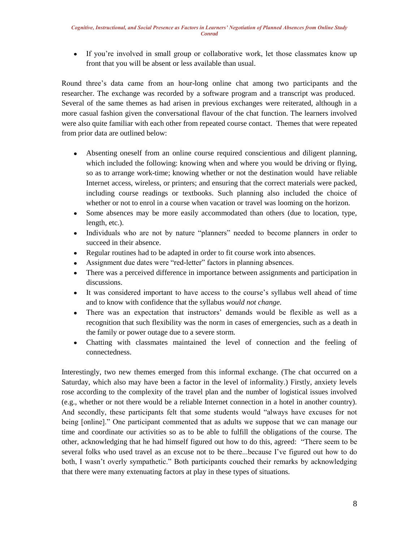• If you're involved in small group or collaborative work, let those classmates know up front that you will be absent or less available than usual.

Round three"s data came from an hour-long online chat among two participants and the researcher. The exchange was recorded by a software program and a transcript was produced. Several of the same themes as had arisen in previous exchanges were reiterated, although in a more casual fashion given the conversational flavour of the chat function. The learners involved were also quite familiar with each other from repeated course contact. Themes that were repeated from prior data are outlined below:

- Absenting oneself from an online course required conscientious and diligent planning, which included the following: knowing when and where you would be driving or flying, so as to arrange work-time; knowing whether or not the destination would have reliable Internet access, wireless, or printers; and ensuring that the correct materials were packed, including course readings or textbooks. Such planning also included the choice of whether or not to enrol in a course when vacation or travel was looming on the horizon.
- Some absences may be more easily accommodated than others (due to location, type, length, etc.).
- Individuals who are not by nature "planners" needed to become planners in order to succeed in their absence.
- Regular routines had to be adapted in order to fit course work into absences.
- Assignment due dates were "red-letter" factors in planning absences.
- There was a perceived difference in importance between assignments and participation in discussions.
- It was considered important to have access to the course"s syllabus well ahead of time and to know with confidence that the syllabus *would not change.*
- There was an expectation that instructors' demands would be flexible as well as a recognition that such flexibility was the norm in cases of emergencies, such as a death in the family or power outage due to a severe storm.
- Chatting with classmates maintained the level of connection and the feeling of connectedness.

Interestingly, two new themes emerged from this informal exchange. (The chat occurred on a Saturday, which also may have been a factor in the level of informality.) Firstly, anxiety levels rose according to the complexity of the travel plan and the number of logistical issues involved (e.g., whether or not there would be a reliable Internet connection in a hotel in another country). And secondly, these participants felt that some students would "always have excuses for not being [online]." One participant commented that as adults we suppose that we can manage our time and coordinate our activities so as to be able to fulfill the obligations of the course. The other, acknowledging that he had himself figured out how to do this, agreed: "There seem to be several folks who used travel as an excuse not to be there...because I"ve figured out how to do both, I wasn't overly sympathetic." Both participants couched their remarks by acknowledging that there were many extenuating factors at play in these types of situations.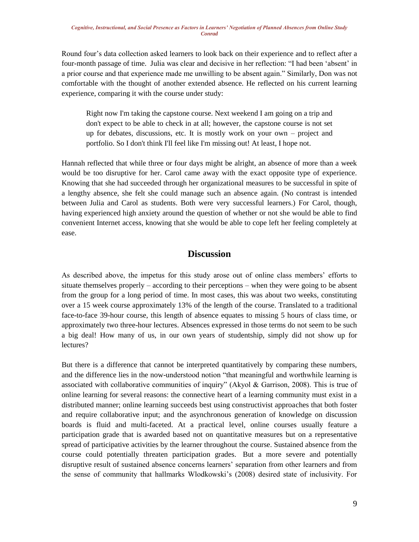#### *Cognitive, Instructional, and Social Presence as Factors in Learners' Negotiation of Planned Absences from Online Study Conrad*

Round four"s data collection asked learners to look back on their experience and to reflect after a four-month passage of time. Julia was clear and decisive in her reflection: "I had been "absent" in a prior course and that experience made me unwilling to be absent again." Similarly, Don was not comfortable with the thought of another extended absence. He reflected on his current learning experience, comparing it with the course under study:

Right now I'm taking the capstone course. Next weekend I am going on a trip and don't expect to be able to check in at all; however, the capstone course is not set up for debates, discussions, etc. It is mostly work on your own – project and portfolio. So I don't think I'll feel like I'm missing out! At least, I hope not.

Hannah reflected that while three or four days might be alright, an absence of more than a week would be too disruptive for her. Carol came away with the exact opposite type of experience. Knowing that she had succeeded through her organizational measures to be successful in spite of a lengthy absence, she felt she could manage such an absence again. (No contrast is intended between Julia and Carol as students. Both were very successful learners.) For Carol, though, having experienced high anxiety around the question of whether or not she would be able to find convenient Internet access, knowing that she would be able to cope left her feeling completely at ease.

### **Discussion**

As described above, the impetus for this study arose out of online class members" efforts to situate themselves properly – according to their perceptions – when they were going to be absent from the group for a long period of time. In most cases, this was about two weeks, constituting over a 15 week course approximately 13% of the length of the course. Translated to a traditional face-to-face 39-hour course, this length of absence equates to missing 5 hours of class time, or approximately two three-hour lectures. Absences expressed in those terms do not seem to be such a big deal! How many of us, in our own years of studentship, simply did not show up for lectures?

But there is a difference that cannot be interpreted quantitatively by comparing these numbers, and the difference lies in the now-understood notion "that meaningful and worthwhile learning is associated with collaborative communities of inquiry" (Akyol & Garrison, 2008). This is true of online learning for several reasons: the connective heart of a learning community must exist in a distributed manner; online learning succeeds best using constructivist approaches that both foster and require collaborative input; and the asynchronous generation of knowledge on discussion boards is fluid and multi-faceted. At a practical level, online courses usually feature a participation grade that is awarded based not on quantitative measures but on a representative spread of participative activities by the learner throughout the course. Sustained absence from the course could potentially threaten participation grades. But a more severe and potentially disruptive result of sustained absence concerns learners" separation from other learners and from the sense of community that hallmarks Wlodkowski"s (2008) desired state of inclusivity. For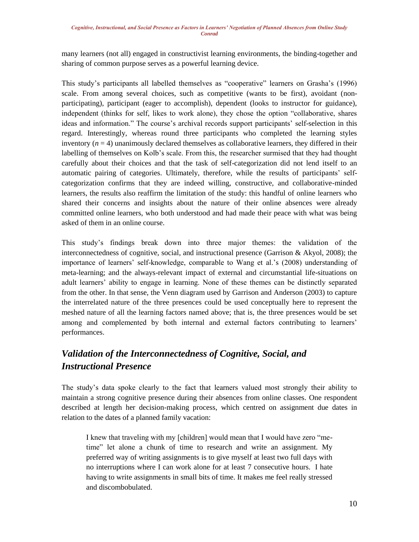many learners (not all) engaged in constructivist learning environments, the binding-together and sharing of common purpose serves as a powerful learning device.

This study"s participants all labelled themselves as "cooperative" learners on Grasha"s (1996) scale. From among several choices, such as competitive (wants to be first), avoidant (nonparticipating), participant (eager to accomplish), dependent (looks to instructor for guidance), independent (thinks for self, likes to work alone), they chose the option "collaborative, shares ideas and information." The course's archival records support participants' self-selection in this regard. Interestingly, whereas round three participants who completed the learning styles inventory  $(n = 4)$  unanimously declared themselves as collaborative learners, they differed in their labelling of themselves on Kolb"s scale. From this, the researcher surmised that they had thought carefully about their choices and that the task of self-categorization did not lend itself to an automatic pairing of categories. Ultimately, therefore, while the results of participants' selfcategorization confirms that they are indeed willing, constructive, and collaborative-minded learners, the results also reaffirm the limitation of the study: this handful of online learners who shared their concerns and insights about the nature of their online absences were already committed online learners, who both understood and had made their peace with what was being asked of them in an online course.

This study"s findings break down into three major themes: the validation of the interconnectedness of cognitive, social, and instructional presence (Garrison & Akyol, 2008); the importance of learners" self-knowledge, comparable to Wang et al."s (2008) understanding of meta-learning; and the always-relevant impact of external and circumstantial life-situations on adult learners" ability to engage in learning. None of these themes can be distinctly separated from the other. In that sense, the Venn diagram used by Garrison and Anderson (2003) to capture the interrelated nature of the three presences could be used conceptually here to represent the meshed nature of all the learning factors named above; that is, the three presences would be set among and complemented by both internal and external factors contributing to learners" performances.

# *Validation of the Interconnectedness of Cognitive, Social, and Instructional Presence*

The study"s data spoke clearly to the fact that learners valued most strongly their ability to maintain a strong cognitive presence during their absences from online classes. One respondent described at length her decision-making process, which centred on assignment due dates in relation to the dates of a planned family vacation:

I knew that traveling with my [children] would mean that I would have zero "metime" let alone a chunk of time to research and write an assignment. My preferred way of writing assignments is to give myself at least two full days with no interruptions where I can work alone for at least 7 consecutive hours. I hate having to write assignments in small bits of time. It makes me feel really stressed and discombobulated.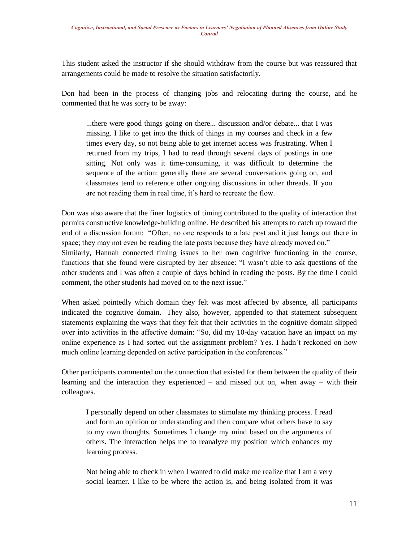This student asked the instructor if she should withdraw from the course but was reassured that arrangements could be made to resolve the situation satisfactorily.

Don had been in the process of changing jobs and relocating during the course, and he commented that he was sorry to be away:

...there were good things going on there... discussion and/or debate... that I was missing. I like to get into the thick of things in my courses and check in a few times every day, so not being able to get internet access was frustrating. When I returned from my trips, I had to read through several days of postings in one sitting. Not only was it time-consuming, it was difficult to determine the sequence of the action: generally there are several conversations going on, and classmates tend to reference other ongoing discussions in other threads. If you are not reading them in real time, it"s hard to recreate the flow.

Don was also aware that the finer logistics of timing contributed to the quality of interaction that permits constructive knowledge-building online. He described his attempts to catch up toward the end of a discussion forum: "Often, no one responds to a late post and it just hangs out there in space; they may not even be reading the late posts because they have already moved on." Similarly, Hannah connected timing issues to her own cognitive functioning in the course,

functions that she found were disrupted by her absence: "I wasn"t able to ask questions of the other students and I was often a couple of days behind in reading the posts. By the time I could comment, the other students had moved on to the next issue."

When asked pointedly which domain they felt was most affected by absence, all participants indicated the cognitive domain. They also, however, appended to that statement subsequent statements explaining the ways that they felt that their activities in the cognitive domain slipped over into activities in the affective domain: "So, did my 10-day vacation have an impact on my online experience as I had sorted out the assignment problem? Yes. I hadn"t reckoned on how much online learning depended on active participation in the conferences."

Other participants commented on the connection that existed for them between the quality of their learning and the interaction they experienced – and missed out on, when away – with their colleagues.

I personally depend on other classmates to stimulate my thinking process. I read and form an opinion or understanding and then compare what others have to say to my own thoughts. Sometimes I change my mind based on the arguments of others. The interaction helps me to reanalyze my position which enhances my learning process.

Not being able to check in when I wanted to did make me realize that I am a very social learner. I like to be where the action is, and being isolated from it was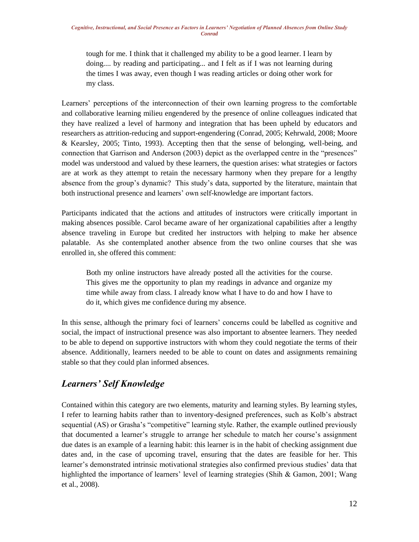#### *Cognitive, Instructional, and Social Presence as Factors in Learners' Negotiation of Planned Absences from Online Study Conrad*

tough for me. I think that it challenged my ability to be a good learner. I learn by doing.... by reading and participating... and I felt as if I was not learning during the times I was away, even though I was reading articles or doing other work for my class.

Learners" perceptions of the interconnection of their own learning progress to the comfortable and collaborative learning milieu engendered by the presence of online colleagues indicated that they have realized a level of harmony and integration that has been upheld by educators and researchers as attrition-reducing and support-engendering (Conrad, 2005; Kehrwald, 2008; Moore & Kearsley, 2005; Tinto, 1993). Accepting then that the sense of belonging, well-being, and connection that Garrison and Anderson (2003) depict as the overlapped centre in the "presences" model was understood and valued by these learners, the question arises: what strategies or factors are at work as they attempt to retain the necessary harmony when they prepare for a lengthy absence from the group"s dynamic? This study"s data, supported by the literature, maintain that both instructional presence and learners" own self-knowledge are important factors.

Participants indicated that the actions and attitudes of instructors were critically important in making absences possible. Carol became aware of her organizational capabilities after a lengthy absence traveling in Europe but credited her instructors with helping to make her absence palatable. As she contemplated another absence from the two online courses that she was enrolled in, she offered this comment:

Both my online instructors have already posted all the activities for the course. This gives me the opportunity to plan my readings in advance and organize my time while away from class. I already know what I have to do and how I have to do it, which gives me confidence during my absence.

In this sense, although the primary foci of learners" concerns could be labelled as cognitive and social, the impact of instructional presence was also important to absentee learners. They needed to be able to depend on supportive instructors with whom they could negotiate the terms of their absence. Additionally, learners needed to be able to count on dates and assignments remaining stable so that they could plan informed absences.

# *Learners' Self Knowledge*

Contained within this category are two elements, maturity and learning styles. By learning styles, I refer to learning habits rather than to inventory-designed preferences, such as Kolb"s abstract sequential (AS) or Grasha"s "competitive" learning style. Rather, the example outlined previously that documented a learner"s struggle to arrange her schedule to match her course"s assignment due dates is an example of a learning habit: this learner is in the habit of checking assignment due dates and, in the case of upcoming travel, ensuring that the dates are feasible for her. This learner"s demonstrated intrinsic motivational strategies also confirmed previous studies" data that highlighted the importance of learners' level of learning strategies (Shih & Gamon, 2001; Wang et al., 2008).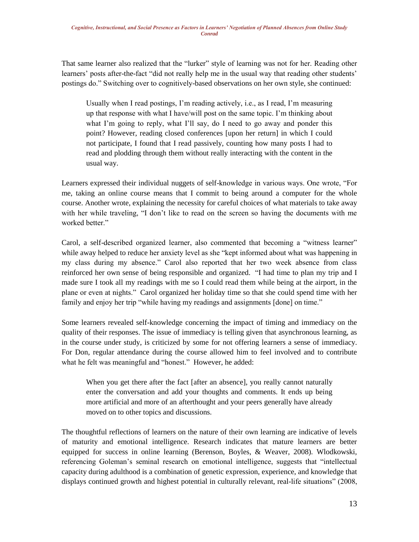That same learner also realized that the "lurker" style of learning was not for her. Reading other learners' posts after-the-fact "did not really help me in the usual way that reading other students' postings do." Switching over to cognitively-based observations on her own style, she continued:

Usually when I read postings, I"m reading actively, i.e., as I read, I"m measuring up that response with what I have/will post on the same topic. I"m thinking about what I'm going to reply, what I'll say, do I need to go away and ponder this point? However, reading closed conferences [upon her return] in which I could not participate, I found that I read passively, counting how many posts I had to read and plodding through them without really interacting with the content in the usual way.

Learners expressed their individual nuggets of self-knowledge in various ways. One wrote, "For me, taking an online course means that I commit to being around a computer for the whole course. Another wrote, explaining the necessity for careful choices of what materials to take away with her while traveling, "I don"t like to read on the screen so having the documents with me worked better."

Carol, a self-described organized learner, also commented that becoming a "witness learner" while away helped to reduce her anxiety level as she "kept informed about what was happening in my class during my absence." Carol also reported that her two week absence from class reinforced her own sense of being responsible and organized. "I had time to plan my trip and I made sure I took all my readings with me so I could read them while being at the airport, in the plane or even at nights." Carol organized her holiday time so that she could spend time with her family and enjoy her trip "while having my readings and assignments [done] on time."

Some learners revealed self-knowledge concerning the impact of timing and immediacy on the quality of their responses. The issue of immediacy is telling given that asynchronous learning, as in the course under study, is criticized by some for not offering learners a sense of immediacy. For Don, regular attendance during the course allowed him to feel involved and to contribute what he felt was meaningful and "honest." However, he added:

When you get there after the fact [after an absence], you really cannot naturally enter the conversation and add your thoughts and comments. It ends up being more artificial and more of an afterthought and your peers generally have already moved on to other topics and discussions.

The thoughtful reflections of learners on the nature of their own learning are indicative of levels of maturity and emotional intelligence. Research indicates that mature learners are better equipped for success in online learning (Berenson, Boyles, & Weaver, 2008). Wlodkowski, referencing Goleman"s seminal research on emotional intelligence, suggests that "intellectual capacity during adulthood is a combination of genetic expression, experience, and knowledge that displays continued growth and highest potential in culturally relevant, real-life situations" (2008,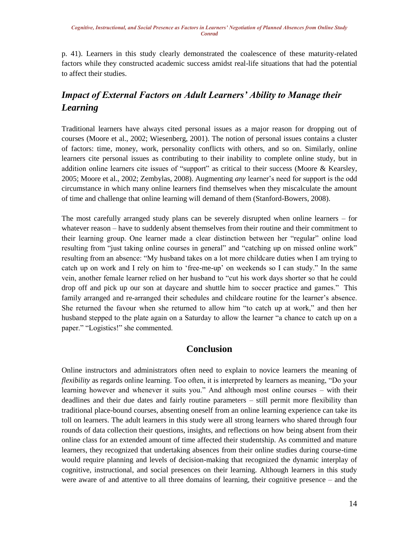p. 41). Learners in this study clearly demonstrated the coalescence of these maturity-related factors while they constructed academic success amidst real-life situations that had the potential to affect their studies.

# *Impact of External Factors on Adult Learners' Ability to Manage their Learning*

Traditional learners have always cited personal issues as a major reason for dropping out of courses (Moore et al., 2002; Wiesenberg, 2001). The notion of personal issues contains a cluster of factors: time, money, work, personality conflicts with others, and so on. Similarly, online learners cite personal issues as contributing to their inability to complete online study, but in addition online learners cite issues of "support" as critical to their success (Moore & Kearsley, 2005; Moore et al., 2002; Zembylas, 2008). Augmenting *any* learner"s need for support is the odd circumstance in which many online learners find themselves when they miscalculate the amount of time and challenge that online learning will demand of them (Stanford-Bowers, 2008).

The most carefully arranged study plans can be severely disrupted when online learners – for whatever reason – have to suddenly absent themselves from their routine and their commitment to their learning group. One learner made a clear distinction between her "regular" online load resulting from "just taking online courses in general" and "catching up on missed online work" resulting from an absence: "My husband takes on a lot more childcare duties when I am trying to catch up on work and I rely on him to "free-me-up" on weekends so I can study." In the same vein, another female learner relied on her husband to "cut his work days shorter so that he could drop off and pick up our son at daycare and shuttle him to soccer practice and games." This family arranged and re-arranged their schedules and childcare routine for the learner's absence. She returned the favour when she returned to allow him "to catch up at work," and then her husband stepped to the plate again on a Saturday to allow the learner "a chance to catch up on a paper." "Logistics!" she commented.

# **Conclusion**

Online instructors and administrators often need to explain to novice learners the meaning of *flexibility* as regards online learning. Too often, it is interpreted by learners as meaning, "Do your learning however and whenever it suits you." And although most online courses – with their deadlines and their due dates and fairly routine parameters – still permit more flexibility than traditional place-bound courses, absenting oneself from an online learning experience can take its toll on learners. The adult learners in this study were all strong learners who shared through four rounds of data collection their questions, insights, and reflections on how being absent from their online class for an extended amount of time affected their studentship. As committed and mature learners, they recognized that undertaking absences from their online studies during course-time would require planning and levels of decision-making that recognized the dynamic interplay of cognitive, instructional, and social presences on their learning. Although learners in this study were aware of and attentive to all three domains of learning, their cognitive presence – and the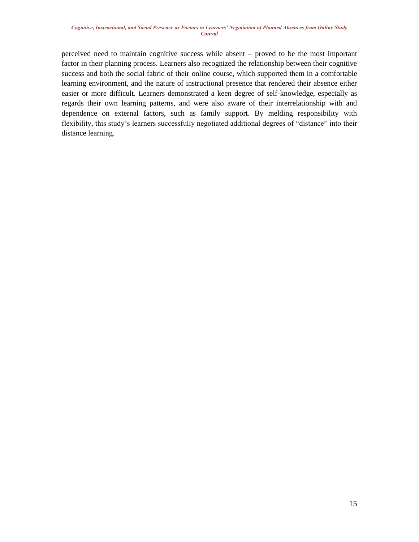#### *Cognitive, Instructional, and Social Presence as Factors in Learners' Negotiation of Planned Absences from Online Study Conrad*

perceived need to maintain cognitive success while absent – proved to be the most important factor in their planning process. Learners also recognized the relationship between their cognitive success and both the social fabric of their online course, which supported them in a comfortable learning environment, and the nature of instructional presence that rendered their absence either easier or more difficult. Learners demonstrated a keen degree of self-knowledge, especially as regards their own learning patterns, and were also aware of their interrelationship with and dependence on external factors, such as family support. By melding responsibility with flexibility, this study"s learners successfully negotiated additional degrees of "distance" into their distance learning.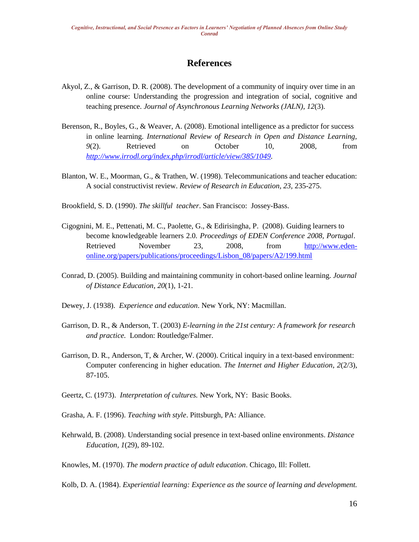### **References**

- Akyol, Z., & Garrison, D. R. (2008). The development of a community of inquiry over time in an online course: Understanding the progression and integration of social, cognitive and teaching presence. *Journal of Asynchronous Learning Networks (JALN)*, *12*(3).
- Berenson, R., Boyles, G., & Weaver, A. (2008). Emotional intelligence as a predictor for success in online learning. *International Review of Research in Open and Distance Learning, 9*(2). Retrieved on October 10, 2008, from *[http://www.irrodl.org/index.php/irrodl/article/view/385/1049.](http://www.irrodl.org/index.php/irrodl/article/view/385/1049)*
- Blanton, W. E., Moorman, G., & Trathen, W. (1998). Telecommunications and teacher education: A social constructivist review. *Review of Research in Education, 23,* 235-275.

Brookfield, S. D. (1990). *The skillful teacher*. San Francisco: Jossey-Bass.

- Cigognini, M. E., Pettenati, M. C., Paolette, G., & Edirisingha, P. (2008). Guiding learners to become knowledgeable learners 2.0. *Proceedings of EDEN Conference 2008, Portugal*. Retrieved November 23, 2008, from [http://www.eden](http://www.eden-online.org/papers/publications/proceedings/Lisbon_08/papers/A2/199.html)[online.org/papers/publications/proceedings/Lisbon\\_08/papers/A2/199.html](http://www.eden-online.org/papers/publications/proceedings/Lisbon_08/papers/A2/199.html)
- Conrad, D. (2005). Building and maintaining community in cohort-based online learning. *Journal of Distance Education*, *20*(1), 1-21.
- Dewey, J. (1938). *Experience and education*. New York, NY: Macmillan.
- Garrison, D. R., & Anderson, T. (2003) *E-learning in the 21st century: A framework for research and practice.* London: Routledge/Falmer.
- Garrison, D. R., Anderson, T, & Archer, W. (2000). Critical inquiry in a text-based environment: Computer conferencing in higher education. *The Internet and Higher Education*, *2*(2/3), 87-105.
- Geertz, C. (1973). *Interpretation of cultures.* New York, NY: Basic Books.
- Grasha, A. F. (1996). *Teaching with style*. Pittsburgh, PA: Alliance.
- Kehrwald, B. (2008). Understanding social presence in text-based online environments. *Distance Education, 1*(29), 89-102.

Knowles, M. (1970). *The modern practice of adult education*. Chicago, Ill: Follett.

Kolb, D. A. (1984). *Experiential learning: Experience as the source of learning and development.*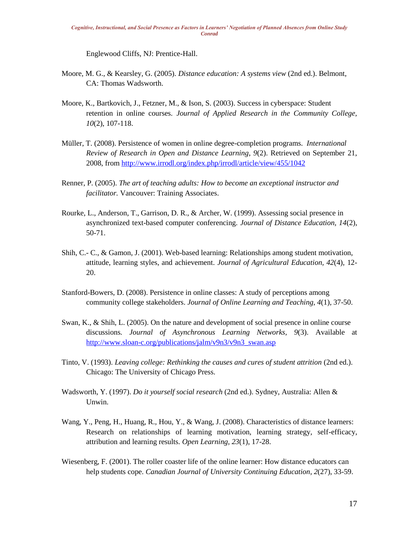Englewood Cliffs, NJ: Prentice-Hall.

- Moore, M. G., & Kearsley, G. (2005). *Distance education: A systems view* (2nd ed.). Belmont, CA: Thomas Wadsworth.
- Moore, K., Bartkovich, J., Fetzner, M., & Ison, S. (2003). Success in cyberspace: Student retention in online courses. *Journal of Applied Research in the Community College, 10*(2), 107-118.
- Müller, T. (2008). Persistence of women in online degree-completion programs. *International Review of Research in Open and Distance Learning*, *9*(2). Retrieved on September 21, 2008, fro[m http://www.irrodl.org/index.php/irrodl/article/view/455/1042](http://www.irrodl.org/index.php/irrodl/article/view/455/1042)
- Renner, P. (2005). *The art of teaching adults: How to become an exceptional instructor and facilitator.* Vancouver: Training Associates.
- Rourke, L., Anderson, T., Garrison, D. R., & Archer, W. (1999). Assessing social presence in asynchronized text-based computer conferencing. *Journal of Distance Education, 14*(2), 50-71.
- Shih, C.- C., & Gamon, J. (2001). Web-based learning: Relationships among student motivation, attitude, learning styles, and achievement. *Journal of Agricultural Education, 42*(4), 12- 20.
- Stanford-Bowers, D. (2008). Persistence in online classes: A study of perceptions among community college stakeholders. *Journal of Online Learning and Teaching, 4*(1), 37-50.
- Swan, K., & Shih, L. (2005). On the nature and development of social presence in online course discussions*. Journal of Asynchronous Learning Networks, 9*(3). Available at [http://www.sloan-c.org/publications/jalm/v9n3/v9n3\\_swan.asp](http://www.sloan-c.org/publications/jalm/v9n3/v9n3_swan.asp)
- Tinto, V. (1993). *Leaving college: Rethinking the causes and cures of student attrition* (2nd ed.). Chicago: The University of Chicago Press.
- Wadsworth, Y. (1997). *Do it yourself social research* (2nd ed.). Sydney, Australia: Allen & Unwin.
- Wang, Y., Peng, H., Huang, R., Hou, Y., & Wang, J. (2008). Characteristics of distance learners: Research on relationships of learning motivation, learning strategy, self-efficacy, attribution and learning results. *Open Learning*, *23*(1), 17-28.
- Wiesenberg, F. (2001). The roller coaster life of the online learner: How distance educators can help students cope. *Canadian Journal of University Continuing Education*, *2*(27), 33-59.